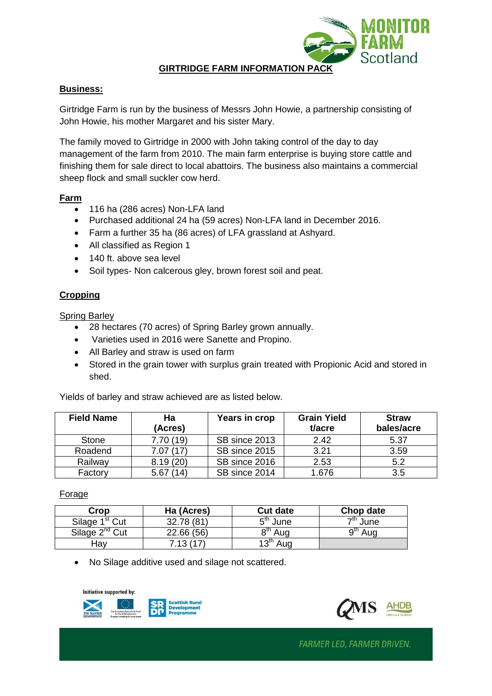**GIRTRIDGE FARM INFORMATION PACK**

# **Business:**

Girtridge Farm is run by the business of Messrs John Howie, a partnership consisting of John Howie, his mother Margaret and his sister Mary.

The family moved to Girtridge in 2000 with John taking control of the day to day management of the farm from 2010. The main farm enterprise is buying store cattle and finishing them for sale direct to local abattoirs. The business also maintains a commercial sheep flock and small suckler cow herd.

#### **Farm**

- 116 ha (286 acres) Non-LFA land
- Purchased additional 24 ha (59 acres) Non-LFA land in December 2016.
- Farm a further 35 ha (86 acres) of LFA grassland at Ashyard.
- All classified as Region 1
- 140 ft. above sea level
- Soil types- Non calcerous gley, brown forest soil and peat.

# **Cropping**

Spring Barley

- 28 hectares (70 acres) of Spring Barley grown annually.
- Varieties used in 2016 were Sanette and Propino.
- All Barley and straw is used on farm
- Stored in the grain tower with surplus grain treated with Propionic Acid and stored in shed.

Yields of barley and straw achieved are as listed below.

| <b>Field Name</b> | Ha<br>(Acres) | Years in crop | <b>Grain Yield</b><br>t/acre | <b>Straw</b><br>bales/acre |
|-------------------|---------------|---------------|------------------------------|----------------------------|
| <b>Stone</b>      | 7.70(19)      | SB since 2013 | 2.42                         | 5.37                       |
| Roadend           | 7.07(17)      | SB since 2015 | 3.21                         | 3.59                       |
| Railway           | 8.19(20)      | SB since 2016 | 2.53                         | 5.2                        |
| Factory           | 5.67<br>(14)  | SB since 2014 | 1.676                        | 3.5                        |

# Forage

| Crop                       | Ha (Acres) | <b>Cut date</b>     | Chop date           |
|----------------------------|------------|---------------------|---------------------|
| Silage 1 <sup>st</sup> Cut | 32.78 (81) | $5th$ June          | <sup>7th</sup> June |
| Silage $2^{nd}$ Cut        | 22.66(56)  | 8 <sup>th</sup> Aug | ∩tn<br>Aug          |
| . Hav                      | 7.13(17)   | $13th$ Aug          |                     |

• No Silage additive used and silage not scattered.

Initiative supported by:





Scotland

FARMER LED, FARMER DRIVEN.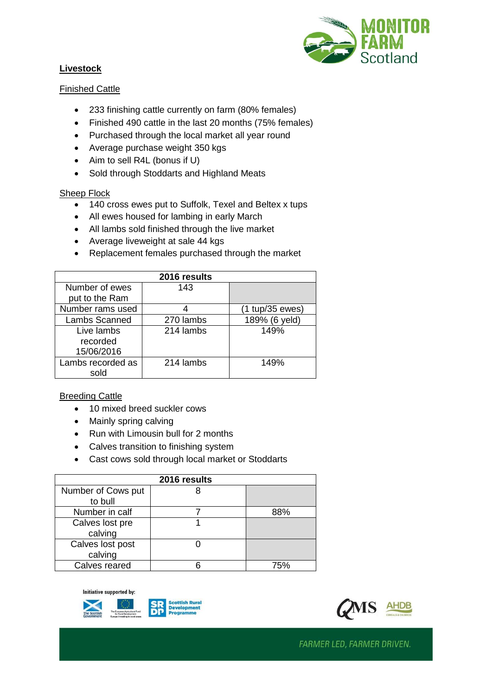## **Livestock**



# Finished Cattle

- 233 finishing cattle currently on farm (80% females)
- Finished 490 cattle in the last 20 months (75% females)
- Purchased through the local market all year round
- Average purchase weight 350 kgs
- Aim to sell R4L (bonus if U)
- Sold through Stoddarts and Highland Meats

#### Sheep Flock

- 140 cross ewes put to Suffolk, Texel and Beltex x tups
- All ewes housed for lambing in early March
- All lambs sold finished through the live market
- Average liveweight at sale 44 kgs
- Replacement females purchased through the market

| 2016 results      |           |                 |  |  |  |
|-------------------|-----------|-----------------|--|--|--|
| Number of ewes    | 143       |                 |  |  |  |
| put to the Ram    |           |                 |  |  |  |
| Number rams used  |           | (1 tup/35 ewes) |  |  |  |
| Lambs Scanned     | 270 lambs | 189% (6 yeld)   |  |  |  |
| Live lambs        | 214 lambs | 149%            |  |  |  |
| recorded          |           |                 |  |  |  |
| 15/06/2016        |           |                 |  |  |  |
| Lambs recorded as | 214 lambs | 149%            |  |  |  |
| sold              |           |                 |  |  |  |

# Breeding Cattle

- 10 mixed breed suckler cows
- Mainly spring calving
- Run with Limousin bull for 2 months
- Calves transition to finishing system
- Cast cows sold through local market or Stoddarts

| 2016 results       |  |     |  |  |  |
|--------------------|--|-----|--|--|--|
| Number of Cows put |  |     |  |  |  |
| to bull            |  |     |  |  |  |
| Number in calf     |  | 88% |  |  |  |
| Calves lost pre    |  |     |  |  |  |
| calving            |  |     |  |  |  |
| Calves lost post   |  |     |  |  |  |
| calving            |  |     |  |  |  |
| Calves reared      |  | 75% |  |  |  |

Initiative supported by:





FARMER LED, FARMER DRIVEN.